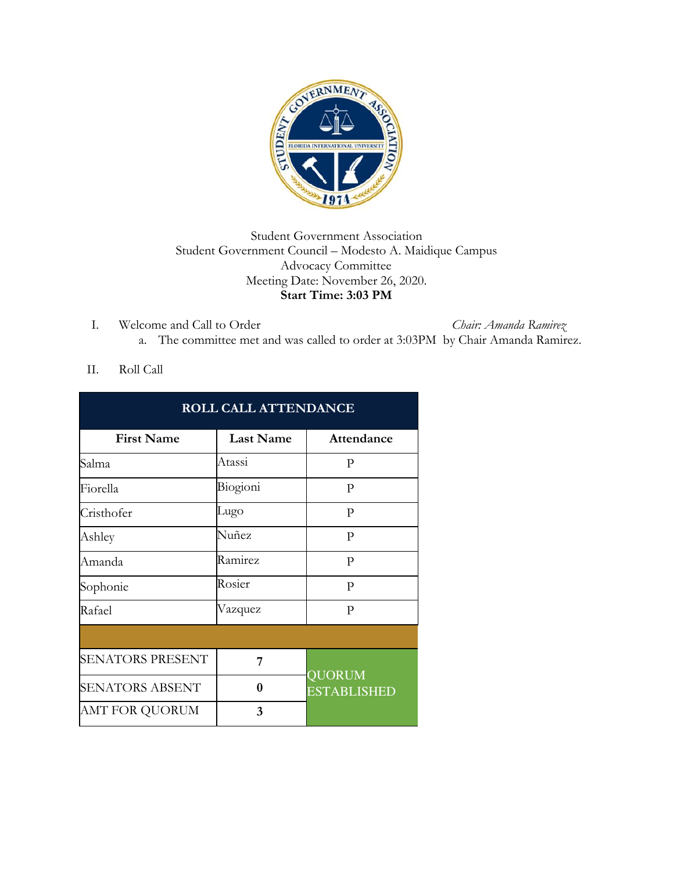

## Student Government Association Student Government Council – Modesto A. Maidique Campus Advocacy Committee Meeting Date: November 26, 2020. **Start Time: 3:03 PM**

I. Welcome and Call to Order *Chair: Amanda Ramirez* a. The committee met and was called to order at 3:03PM by Chair Amanda Ramirez.

## II. Roll Call

| ROLL CALL ATTENDANCE    |                  |                              |
|-------------------------|------------------|------------------------------|
| <b>First Name</b>       | <b>Last Name</b> | Attendance                   |
| Salma                   | Atassi           | P                            |
| Fiorella                | Biogioni         | P                            |
| Cristhofer              | Lugo             | P                            |
| Ashley                  | Nuñez            | P                            |
| Amanda                  | Ramirez          | P                            |
| Sophonie                | Rosier           | P                            |
| Rafael                  | Vazquez          | P                            |
|                         |                  |                              |
| <b>SENATORS PRESENT</b> | 7                | QUORUM<br><b>ESTABLISHED</b> |
| <b>SENATORS ABSENT</b>  | 0                |                              |
| AMT FOR QUORUM          | 3                |                              |